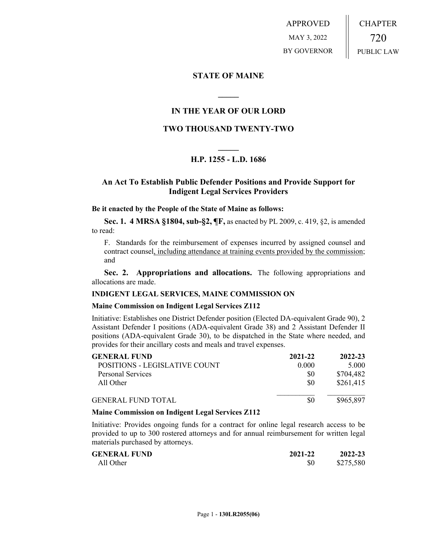APPROVED MAY 3, 2022 BY GOVERNOR CHAPTER 720 PUBLIC LAW

### **STATE OF MAINE**

### **IN THE YEAR OF OUR LORD**

**\_\_\_\_\_**

## **TWO THOUSAND TWENTY-TWO**

# **\_\_\_\_\_ H.P. 1255 - L.D. 1686**

### **An Act To Establish Public Defender Positions and Provide Support for Indigent Legal Services Providers**

#### **Be it enacted by the People of the State of Maine as follows:**

**Sec. 1. 4 MRSA §1804, sub-§2, ¶F,** as enacted by PL 2009, c. 419, §2, is amended to read:

F. Standards for the reimbursement of expenses incurred by assigned counsel and contract counsel, including attendance at training events provided by the commission; and

**Sec. 2. Appropriations and allocations.** The following appropriations and allocations are made.

#### **INDIGENT LEGAL SERVICES, MAINE COMMISSION ON**

#### **Maine Commission on Indigent Legal Services Z112**

Initiative: Establishes one District Defender position (Elected DA-equivalent Grade 90), 2 Assistant Defender I positions (ADA-equivalent Grade 38) and 2 Assistant Defender II positions (ADA-equivalent Grade 30), to be dispatched in the State where needed, and provides for their ancillary costs and meals and travel expenses.

| <b>GENERAL FUND</b>           | 2021-22 | 2022-23   |
|-------------------------------|---------|-----------|
| POSITIONS - LEGISLATIVE COUNT | 0.000   | 5.000     |
| <b>Personal Services</b>      | \$0     | \$704,482 |
| All Other                     | \$0     | \$261,415 |
| <b>GENERAL FUND TOTAL</b>     | \$0     | \$965,897 |

#### **Maine Commission on Indigent Legal Services Z112**

Initiative: Provides ongoing funds for a contract for online legal research access to be provided to up to 300 rostered attorneys and for annual reimbursement for written legal materials purchased by attorneys.

| <b>GENERAL FUND</b> | 2021-22 | 2022-23   |
|---------------------|---------|-----------|
| All Other           | \$0     | \$275,580 |